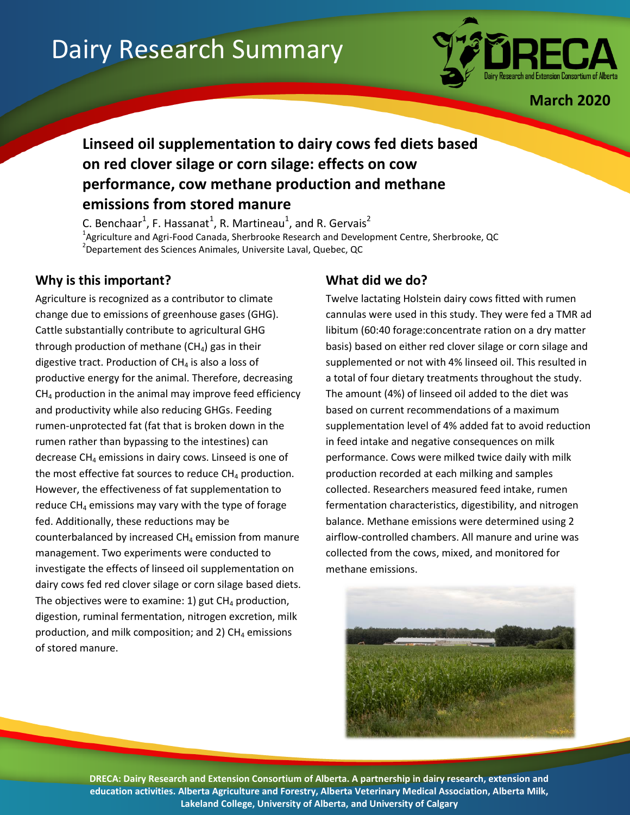# Dairy Research Summary



**March 2020**

## **Linseed oil supplementation to dairy cows fed diets based on red clover silage or corn silage: effects on cow performance, cow methane production and methane emissions from stored manure**

C. Benchaar<sup>1</sup>, F. Hassanat<sup>1</sup>, R. Martineau<sup>1</sup>, and R. Gervais<sup>2</sup> <sup>1</sup>Agriculture and Agri-Food Canada, Sherbrooke Research and Development Centre, Sherbrooke, QC 2 Departement des Sciences Animales, Universite Laval, Quebec, QC

#### **Why is this important?**

Agriculture is recognized as a contributor to climate change due to emissions of greenhouse gases (GHG). Cattle substantially contribute to agricultural GHG through production of methane  $(CH<sub>4</sub>)$  gas in their digestive tract. Production of  $CH<sub>4</sub>$  is also a loss of productive energy for the animal. Therefore, decreasing  $CH<sub>4</sub>$  production in the animal may improve feed efficiency and productivity while also reducing GHGs. Feeding rumen-unprotected fat (fat that is broken down in the rumen rather than bypassing to the intestines) can decrease  $CH_4$  emissions in dairy cows. Linseed is one of the most effective fat sources to reduce  $CH_4$  production. However, the effectiveness of fat supplementation to reduce  $CH_4$  emissions may vary with the type of forage fed. Additionally, these reductions may be counterbalanced by increased  $CH<sub>4</sub>$  emission from manure management. Two experiments were conducted to investigate the effects of linseed oil supplementation on dairy cows fed red clover silage or corn silage based diets. The objectives were to examine: 1) gut  $CH<sub>4</sub>$  production, digestion, ruminal fermentation, nitrogen excretion, milk production, and milk composition; and 2)  $CH<sub>4</sub>$  emissions of stored manure.

#### **What did we do?**

Twelve lactating Holstein dairy cows fitted with rumen cannulas were used in this study. They were fed a TMR ad libitum (60:40 forage:concentrate ration on a dry matter basis) based on either red clover silage or corn silage and supplemented or not with 4% linseed oil. This resulted in a total of four dietary treatments throughout the study. The amount (4%) of linseed oil added to the diet was based on current recommendations of a maximum supplementation level of 4% added fat to avoid reduction in feed intake and negative consequences on milk performance. Cows were milked twice daily with milk production recorded at each milking and samples collected. Researchers measured feed intake, rumen fermentation characteristics, digestibility, and nitrogen balance. Methane emissions were determined using 2 airflow-controlled chambers. All manure and urine was collected from the cows, mixed, and monitored for methane emissions.



**DRECA: Dairy Research and Extension Consortium of Alberta. A partnership in dairy research, extension and education activities. Alberta Agriculture and Forestry, Alberta Veterinary Medical Association, Alberta Milk, Lakeland College, University of Alberta, and University of Calgary**